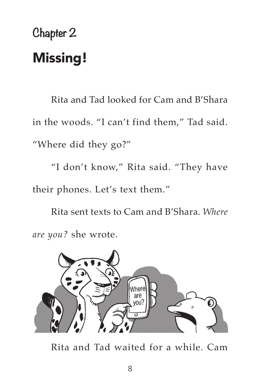## **Chapter 2** Missing!

Rita and Tad looked for Cam and B'Shara in the woods. "I can't find them," Tad said. "Where did they go?"

"I don't know," Rita said. "They have their phones. Let's text them."

Rita sent texts to Cam and B'Shara. *Where are you?* she wrote.



Rita and Tad waited for a while. Cam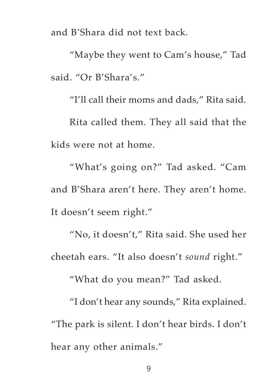and B'Shara did not text back.

"Maybe they went to Cam's house," Tad said. "Or B'Shara's."

"I'll call their moms and dads," Rita said. Rita called them. They all said that the kids were not at home.

"What's going on?" Tad asked. "Cam and B'Shara aren't here. They aren't home. It doesn't seem right."

"No, it doesn't," Rita said. She used her cheetah ears. "It also doesn't *sound* right."

"What do you mean?" Tad asked.

"I don't hear any sounds," Rita explained. "The park is silent. I don't hear birds. I don't hear any other animals."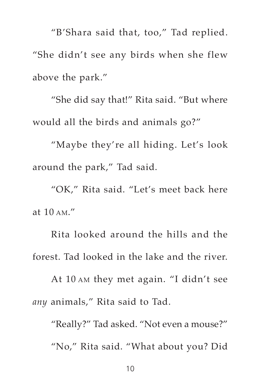"B'Shara said that, too," Tad replied. "She didn't see any birds when she flew above the park."

"She did say that!" Rita said. "But where would all the birds and animals go?"

"Maybe they're all hiding. Let's look around the park," Tad said.

"OK," Rita said. "Let's meet back here at 10 am."

Rita looked around the hills and the forest. Tad looked in the lake and the river.

At 10 am they met again. "I didn't see *any* animals," Rita said to Tad.

"Really?" Tad asked. "Not even a mouse?" "No," Rita said. "What about you? Did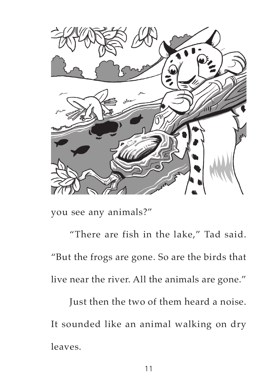

you see any animals?"

"There are fish in the lake," Tad said. "But the frogs are gone. So are the birds that live near the river. All the animals are gone."

Just then the two of them heard a noise. It sounded like an animal walking on dry leaves.